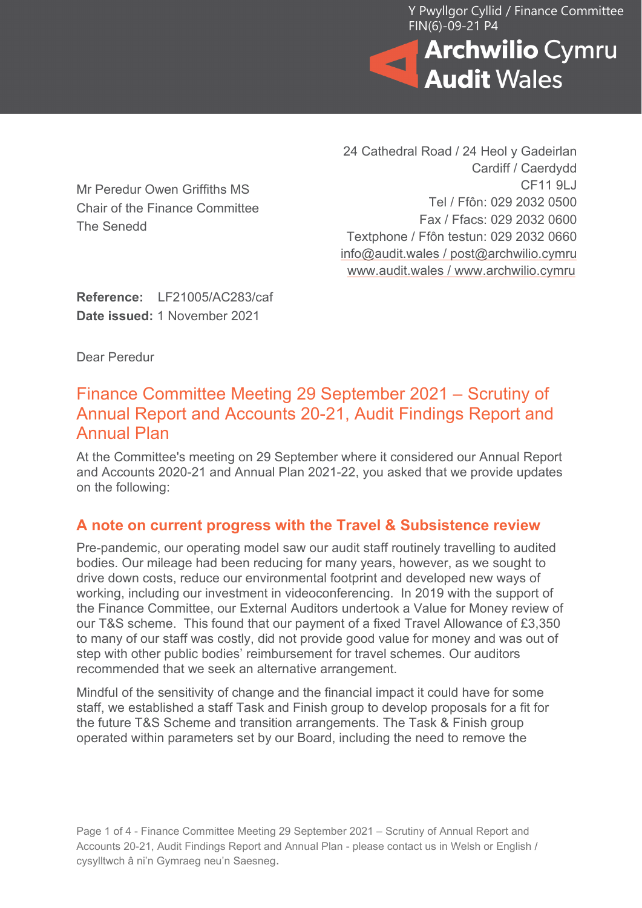Y Pwyllgor Cyllid / Finance Committee FIN(6)-09-21 P4



Mr Peredur Owen Griffiths MS Chair of the Finance Committee The Senedd

24 Cathedral Road / 24 Heol y Gadeirlan Cardiff / Caerdydd CF11 9LJ Tel / Ffôn: 029 2032 0500 Fax / Ffacs: 029 2032 0600 Textphone / Ffôn testun: 029 2032 0660 [info@audit.wales](mailto:info@audit.wales) / post@archwilio.cymru [www.audit.wales](http://www.audit.wales/) / [www.archwilio.cymru](http://www.archwilio.cymru/)

**Reference:** LF21005/AC283/caf **Date issued:** 1 November 2021

Dear Peredur

## Finance Committee Meeting 29 September 2021 – Scrutiny of Annual Report and Accounts 20-21, Audit Findings Report and Annual Plan

At the Committee's meeting on 29 September where it considered our Annual Report and Accounts 2020-21 and Annual Plan 2021-22, you asked that we provide updates on the following:

## **A note on current progress with the Travel & Subsistence review**

Pre-pandemic, our operating model saw our audit staff routinely travelling to audited bodies. Our mileage had been reducing for many years, however, as we sought to drive down costs, reduce our environmental footprint and developed new ways of working, including our investment in videoconferencing. In 2019 with the support of the Finance Committee, our External Auditors undertook a Value for Money review of our T&S scheme. This found that our payment of a fixed Travel Allowance of £3,350 to many of our staff was costly, did not provide good value for money and was out of step with other public bodies' reimbursement for travel schemes. Our auditors recommended that we seek an alternative arrangement.

Mindful of the sensitivity of change and the financial impact it could have for some staff, we established a staff Task and Finish group to develop proposals for a fit for the future T&S Scheme and transition arrangements. The Task & Finish group operated within parameters set by our Board, including the need to remove the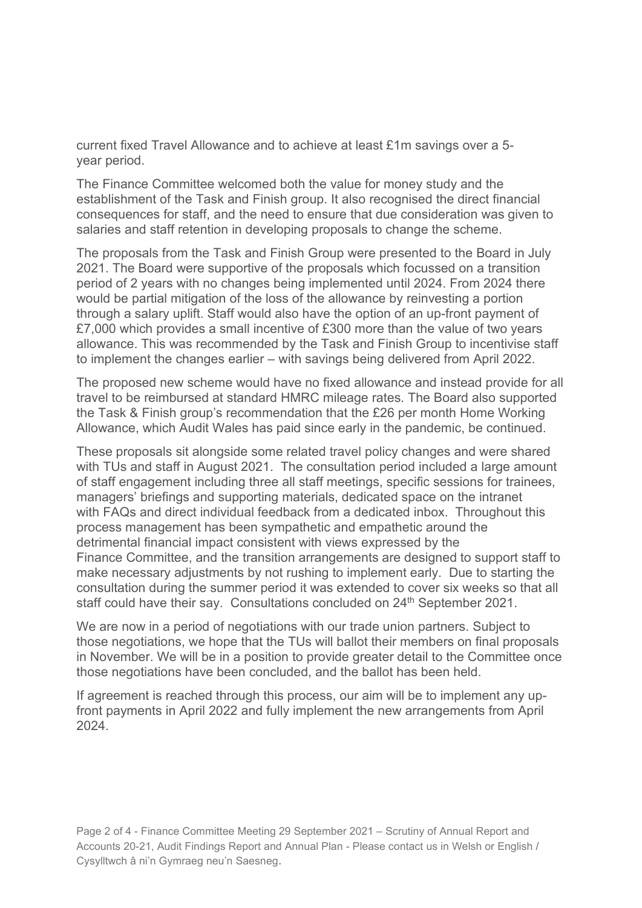current fixed Travel Allowance and to achieve at least £1m savings over a 5 year period.

The Finance Committee welcomed both the value for money study and the establishment of the Task and Finish group. It also recognised the direct financial consequences for staff, and the need to ensure that due consideration was given to salaries and staff retention in developing proposals to change the scheme.

The proposals from the Task and Finish Group were presented to the Board in July 2021. The Board were supportive of the proposals which focussed on a transition period of 2 years with no changes being implemented until 2024. From 2024 there would be partial mitigation of the loss of the allowance by reinvesting a portion through a salary uplift. Staff would also have the option of an up-front payment of £7,000 which provides a small incentive of £300 more than the value of two years allowance. This was recommended by the Task and Finish Group to incentivise staff to implement the changes earlier – with savings being delivered from April 2022.

The proposed new scheme would have no fixed allowance and instead provide for all travel to be reimbursed at standard HMRC mileage rates. The Board also supported the Task & Finish group's recommendation that the £26 per month Home Working Allowance, which Audit Wales has paid since early in the pandemic, be continued.

These proposals sit alongside some related travel policy changes and were shared with TUs and staff in August 2021. The consultation period included a large amount of staff engagement including three all staff meetings, specific sessions for trainees, managers' briefings and supporting materials, dedicated space on the intranet with FAQs and direct individual feedback from a dedicated inbox. Throughout this process management has been sympathetic and empathetic around the detrimental financial impact consistent with views expressed by the Finance Committee, and the transition arrangements are designed to support staff to make necessary adjustments by not rushing to implement early. Due to starting the consultation during the summer period it was extended to cover six weeks so that all staff could have their say. Consultations concluded on 24<sup>th</sup> September 2021.

We are now in a period of negotiations with our trade union partners. Subject to those negotiations, we hope that the TUs will ballot their members on final proposals in November. We will be in a position to provide greater detail to the Committee once those negotiations have been concluded, and the ballot has been held.

If agreement is reached through this process, our aim will be to implement any upfront payments in April 2022 and fully implement the new arrangements from April 2024.

Page 2 of 4 - Finance Committee Meeting 29 September 2021 – Scrutiny of Annual Report and Accounts 20-21, Audit Findings Report and Annual Plan - Please contact us in Welsh or English / Cysylltwch â ni'n Gymraeg neu'n Saesneg.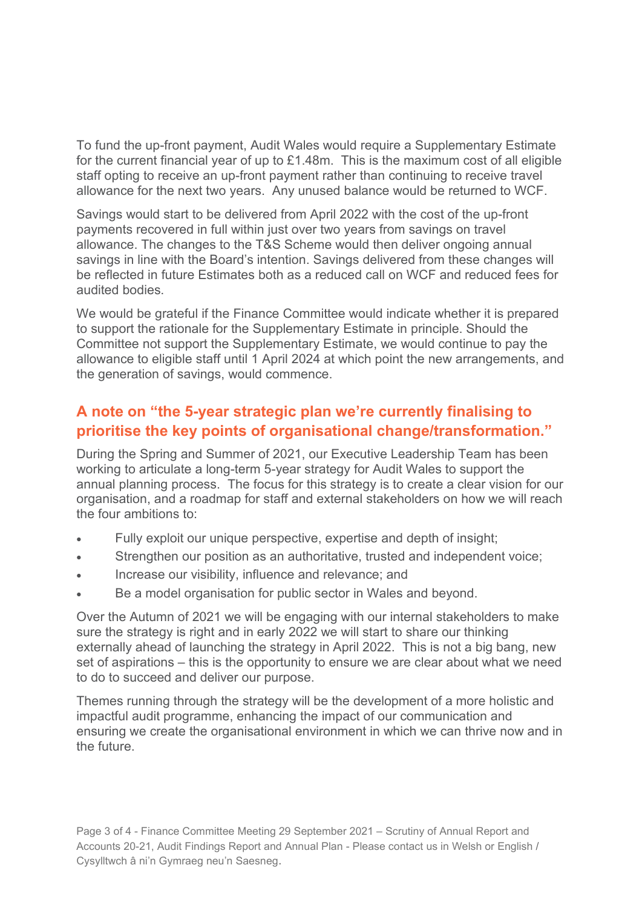To fund the up-front payment, Audit Wales would require a Supplementary Estimate for the current financial year of up to £1.48m. This is the maximum cost of all eligible staff opting to receive an up-front payment rather than continuing to receive travel allowance for the next two years. Any unused balance would be returned to WCF.

Savings would start to be delivered from April 2022 with the cost of the up-front payments recovered in full within just over two years from savings on travel allowance. The changes to the T&S Scheme would then deliver ongoing annual savings in line with the Board's intention. Savings delivered from these changes will be reflected in future Estimates both as a reduced call on WCF and reduced fees for audited bodies.

We would be grateful if the Finance Committee would indicate whether it is prepared to support the rationale for the Supplementary Estimate in principle. Should the Committee not support the Supplementary Estimate, we would continue to pay the allowance to eligible staff until 1 April 2024 at which point the new arrangements, and the generation of savings, would commence.

## **A note on "the 5-year strategic plan we're currently finalising to prioritise the key points of organisational change/transformation."**

During the Spring and Summer of 2021, our Executive Leadership Team has been working to articulate a long-term 5-year strategy for Audit Wales to support the annual planning process. The focus for this strategy is to create a clear vision for our organisation, and a roadmap for staff and external stakeholders on how we will reach the four ambitions to:

- Fully exploit our unique perspective, expertise and depth of insight;
- Strengthen our position as an authoritative, trusted and independent voice;
- Increase our visibility, influence and relevance; and
- Be a model organisation for public sector in Wales and beyond.

Over the Autumn of 2021 we will be engaging with our internal stakeholders to make sure the strategy is right and in early 2022 we will start to share our thinking externally ahead of launching the strategy in April 2022. This is not a big bang, new set of aspirations – this is the opportunity to ensure we are clear about what we need to do to succeed and deliver our purpose.

Themes running through the strategy will be the development of a more holistic and impactful audit programme, enhancing the impact of our communication and ensuring we create the organisational environment in which we can thrive now and in the future.